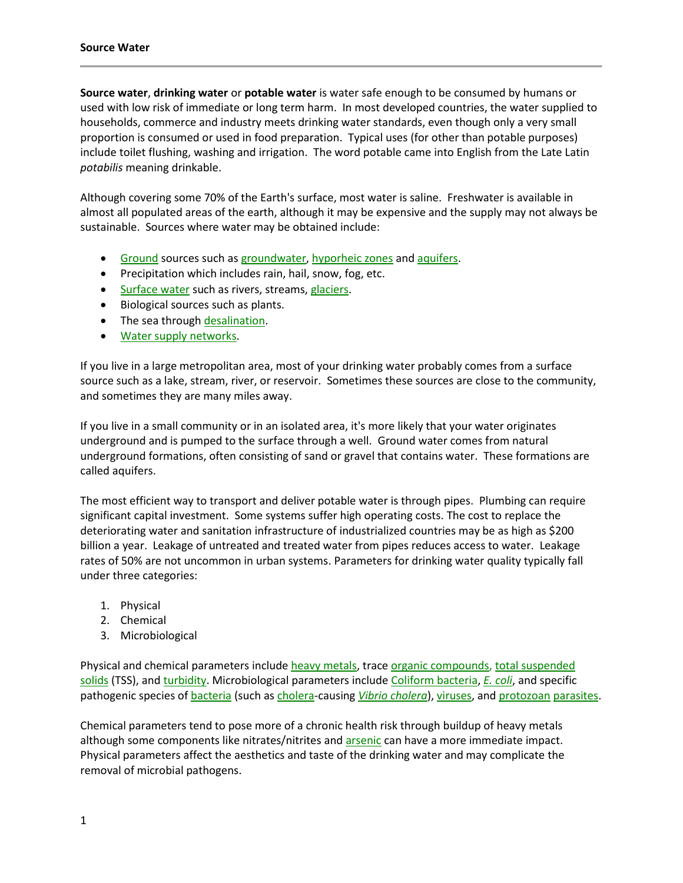**Source water**, **drinking water** or **potable water** is water safe enough to be consumed by humans or used with low risk of immediate or long term harm. In most developed countries, the water supplied to households, commerce and industry meets drinking water standards, even though only a very small proportion is consumed or used in food preparation. Typical uses (for other than potable purposes) include toilet flushing, washing and irrigation. The word potable came into English from the Late Latin *potabilis* meaning drinkable.

Although covering some 70% of the Earth's surface, most water is saline. Freshwater is available in almost all populated areas of the earth, although it may be expensive and the supply may not always be sustainable. Sources where water may be obtained include:

- [Ground](http://en.wikipedia.org/wiki/Soil) sources such as [groundwater,](http://en.wikipedia.org/wiki/Groundwater) [hyporheic zones](http://en.wikipedia.org/wiki/Hyporheic_zone) and [aquifers.](http://en.wikipedia.org/wiki/Aquifer)
- Precipitation which includes rain, hail, snow, fog, etc.
- [Surface water](http://en.wikipedia.org/wiki/Surface_water) such as rivers, streams[, glaciers.](http://en.wikipedia.org/wiki/Glacier)
- Biological sources such as plants.
- The sea through [desalination.](http://en.wikipedia.org/wiki/Desalination)
- [Water supply networks.](http://en.wikipedia.org/wiki/Water_supply_network)

If you live in a large metropolitan area, most of your drinking water probably comes from a surface source such as a lake, stream, river, or reservoir. Sometimes these sources are close to the community, and sometimes they are many miles away.

If you live in a small community or in an isolated area, it's more likely that your water originates underground and is pumped to the surface through a well. Ground water comes from natural underground formations, often consisting of sand or gravel that contains water. These formations are called aquifers.

The most efficient way to transport and deliver potable water is through pipes. Plumbing can require significant capital investment. Some systems suffer high operating costs. The cost to replace the deteriorating water and sanitation infrastructure of industrialized countries may be as high as \$200 billion a year. Leakage of untreated and treated water from pipes reduces access to water. Leakage rates of 50% are not uncommon in urban systems. Parameters for drinking water quality typically fall under three categories:

- 1. Physical
- 2. Chemical
- 3. Microbiological

Physical and chemical parameters include [heavy metals,](http://en.wikipedia.org/wiki/Heavy_metals) trac[e organic compounds,](http://en.wikipedia.org/wiki/Organic_compounds) total suspended [solids](http://en.wikipedia.org/wiki/Total_suspended_solids) (TSS), an[d turbidity.](http://en.wikipedia.org/wiki/Turbidity) Microbiological parameters includ[e Coliform bacteria,](http://en.wikipedia.org/wiki/Coliform_bacteria) *[E. coli](http://en.wikipedia.org/wiki/Escherichia_coli)*, and specific pathogenic species of [bacteria](http://en.wikipedia.org/wiki/Bacteria) (such a[s cholera-](http://en.wikipedia.org/wiki/Cholera)causing *[Vibrio cholera](http://en.wikipedia.org/wiki/Vibrio_cholerae)*)[, viruses,](http://en.wikipedia.org/wiki/Viruses) and [protozoan](http://en.wikipedia.org/wiki/Protozoan) [parasites.](http://en.wikipedia.org/wiki/Parasites)

Chemical parameters tend to pose more of a chronic health risk through buildup of heavy metals although some components like nitrates/nitrites and [arsenic](http://en.wikipedia.org/wiki/Arsenic) can have a more immediate impact. Physical parameters affect the aesthetics and taste of the drinking water and may complicate the removal of microbial pathogens.